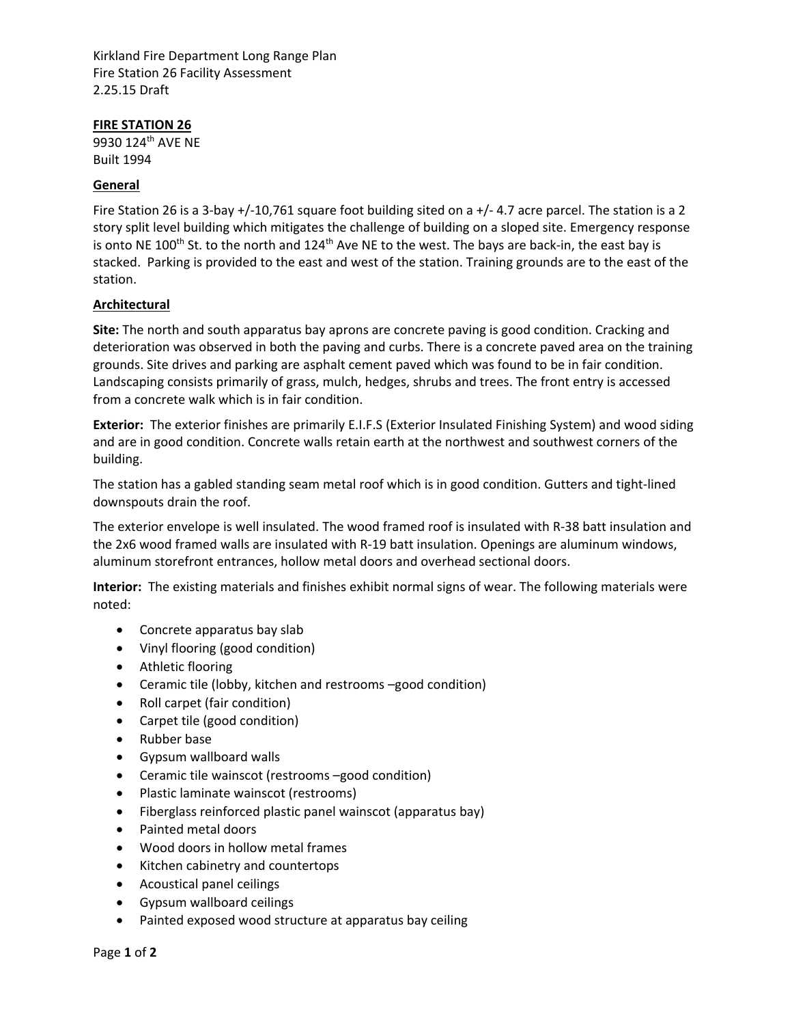Kirkland Fire Department Long Range Plan Fire Station 26 Facility Assessment 2.25.15 Draft

#### **FIRE STATION 26**

9930 124<sup>th</sup> AVE NE Built 1994

#### **General**

Fire Station 26 is a 3‐bay +/‐10,761 square foot building sited on a +/‐ 4.7 acre parcel. The station is a 2 story split level building which mitigates the challenge of building on a sloped site. Emergency response is onto NE 100<sup>th</sup> St. to the north and 124<sup>th</sup> Ave NE to the west. The bays are back-in, the east bay is stacked. Parking is provided to the east and west of the station. Training grounds are to the east of the station.

### **Architectural**

**Site:** The north and south apparatus bay aprons are concrete paving is good condition. Cracking and deterioration was observed in both the paving and curbs. There is a concrete paved area on the training grounds. Site drives and parking are asphalt cement paved which was found to be in fair condition. Landscaping consists primarily of grass, mulch, hedges, shrubs and trees. The front entry is accessed from a concrete walk which is in fair condition.

**Exterior:** The exterior finishes are primarily E.I.F.S (Exterior Insulated Finishing System) and wood siding and are in good condition. Concrete walls retain earth at the northwest and southwest corners of the building.

The station has a gabled standing seam metal roof which is in good condition. Gutters and tight‐lined downspouts drain the roof.

The exterior envelope is well insulated. The wood framed roof is insulated with R‐38 batt insulation and the 2x6 wood framed walls are insulated with R‐19 batt insulation. Openings are aluminum windows, aluminum storefront entrances, hollow metal doors and overhead sectional doors.

**Interior:** The existing materials and finishes exhibit normal signs of wear. The following materials were noted:

- Concrete apparatus bay slab
- Vinyl flooring (good condition)
- Athletic flooring
- Ceramic tile (lobby, kitchen and restrooms –good condition)
- Roll carpet (fair condition)
- Carpet tile (good condition)
- Rubber base
- Gypsum wallboard walls
- Ceramic tile wainscot (restrooms –good condition)
- Plastic laminate wainscot (restrooms)
- Fiberglass reinforced plastic panel wainscot (apparatus bay)
- Painted metal doors
- Wood doors in hollow metal frames
- Kitchen cabinetry and countertops
- Acoustical panel ceilings
- Gypsum wallboard ceilings
- Painted exposed wood structure at apparatus bay ceiling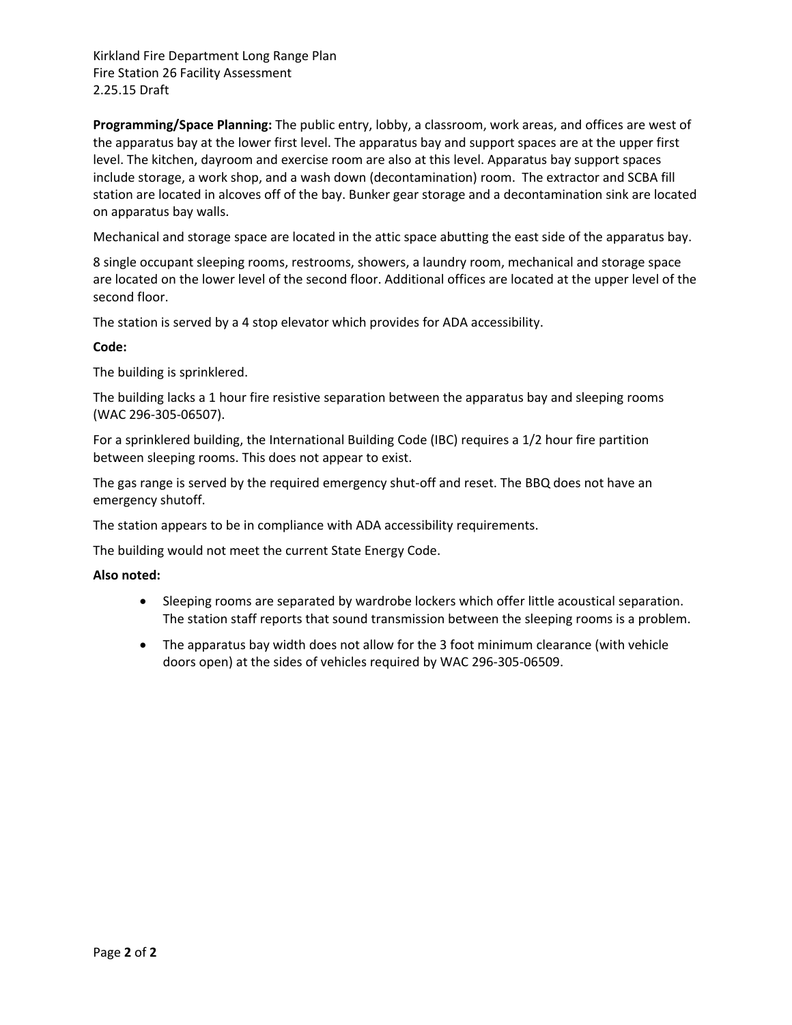Kirkland Fire Department Long Range Plan Fire Station 26 Facility Assessment 2.25.15 Draft

**Programming/Space Planning:** The public entry, lobby, a classroom, work areas, and offices are west of the apparatus bay at the lower first level. The apparatus bay and support spaces are at the upper first level. The kitchen, dayroom and exercise room are also at this level. Apparatus bay support spaces include storage, a work shop, and a wash down (decontamination) room. The extractor and SCBA fill station are located in alcoves off of the bay. Bunker gear storage and a decontamination sink are located on apparatus bay walls.

Mechanical and storage space are located in the attic space abutting the east side of the apparatus bay.

8 single occupant sleeping rooms, restrooms, showers, a laundry room, mechanical and storage space are located on the lower level of the second floor. Additional offices are located at the upper level of the second floor.

The station is served by a 4 stop elevator which provides for ADA accessibility.

#### **Code:**

The building is sprinklered.

The building lacks a 1 hour fire resistive separation between the apparatus bay and sleeping rooms (WAC 296‐305‐06507).

For a sprinklered building, the International Building Code (IBC) requires a 1/2 hour fire partition between sleeping rooms. This does not appear to exist.

The gas range is served by the required emergency shut-off and reset. The BBQ does not have an emergency shutoff.

The station appears to be in compliance with ADA accessibility requirements.

The building would not meet the current State Energy Code.

#### **Also noted:**

- Sleeping rooms are separated by wardrobe lockers which offer little acoustical separation. The station staff reports that sound transmission between the sleeping rooms is a problem.
- The apparatus bay width does not allow for the 3 foot minimum clearance (with vehicle doors open) at the sides of vehicles required by WAC 296‐305‐06509.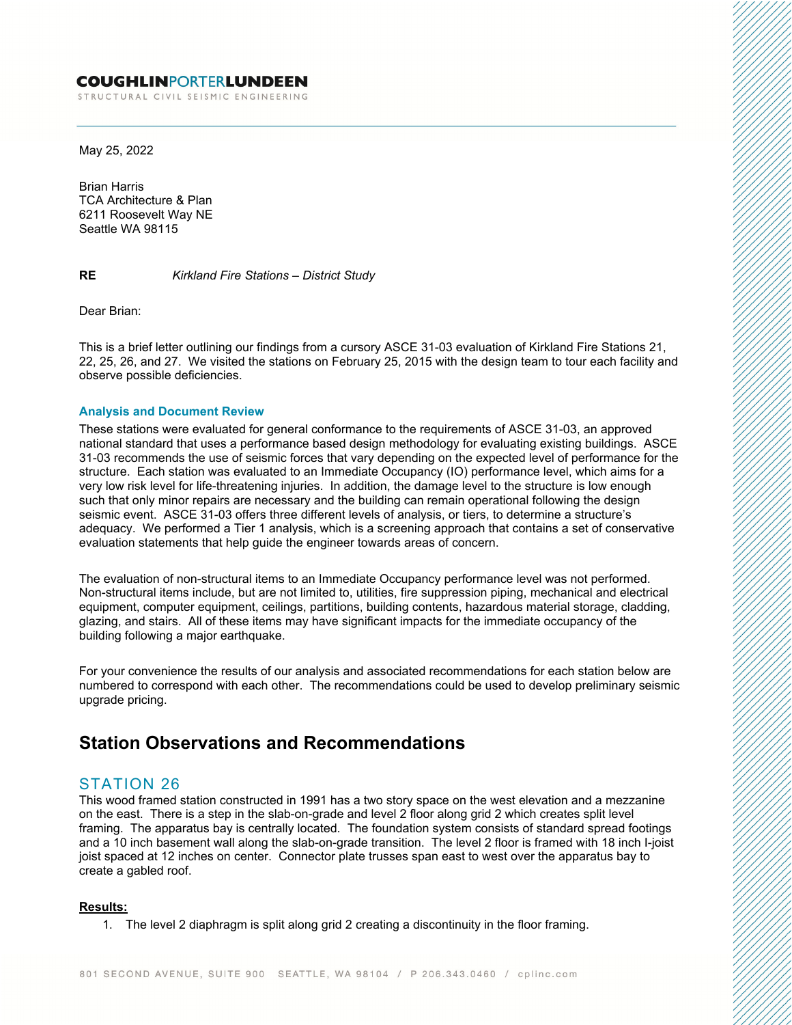#### **COUGHLINPORTERLUNDEEN**

STRUCTURAL CIVIL SEISMIC ENGINEERING

May 25, 2022

Brian Harris TCA Architecture & Plan 6211 Roosevelt Way NE Seattle WA 98115

**RE** *Kirkland Fire Stations – District Study*

Dear Brian:

This is a brief letter outlining our findings from a cursory ASCE 31-03 evaluation of Kirkland Fire Stations 21, 22, 25, 26, and 27. We visited the stations on February 25, 2015 with the design team to tour each facility and observe possible deficiencies.

#### **Analysis and Document Review**

These stations were evaluated for general conformance to the requirements of ASCE 31-03, an approved national standard that uses a performance based design methodology for evaluating existing buildings. ASCE 31-03 recommends the use of seismic forces that vary depending on the expected level of performance for the structure. Each station was evaluated to an Immediate Occupancy (IO) performance level, which aims for a very low risk level for life-threatening injuries. In addition, the damage level to the structure is low enough such that only minor repairs are necessary and the building can remain operational following the design seismic event. ASCE 31-03 offers three different levels of analysis, or tiers, to determine a structure's adequacy. We performed a Tier 1 analysis, which is a screening approach that contains a set of conservative evaluation statements that help guide the engineer towards areas of concern.

The evaluation of non-structural items to an Immediate Occupancy performance level was not performed. Non-structural items include, but are not limited to, utilities, fire suppression piping, mechanical and electrical equipment, computer equipment, ceilings, partitions, building contents, hazardous material storage, cladding, glazing, and stairs. All of these items may have significant impacts for the immediate occupancy of the building following a major earthquake.

For your convenience the results of our analysis and associated recommendations for each station below are numbered to correspond with each other. The recommendations could be used to develop preliminary seismic upgrade pricing.

## **Station Observations and Recommendations**

### STATION 26

This wood framed station constructed in 1991 has a two story space on the west elevation and a mezzanine on the east. There is a step in the slab-on-grade and level 2 floor along grid 2 which creates split level framing. The apparatus bay is centrally located. The foundation system consists of standard spread footings and a 10 inch basement wall along the slab-on-grade transition. The level 2 floor is framed with 18 inch I-joist joist spaced at 12 inches on center. Connector plate trusses span east to west over the apparatus bay to create a gabled roof.

#### **Results:**

1. The level 2 diaphragm is split along grid 2 creating a discontinuity in the floor framing.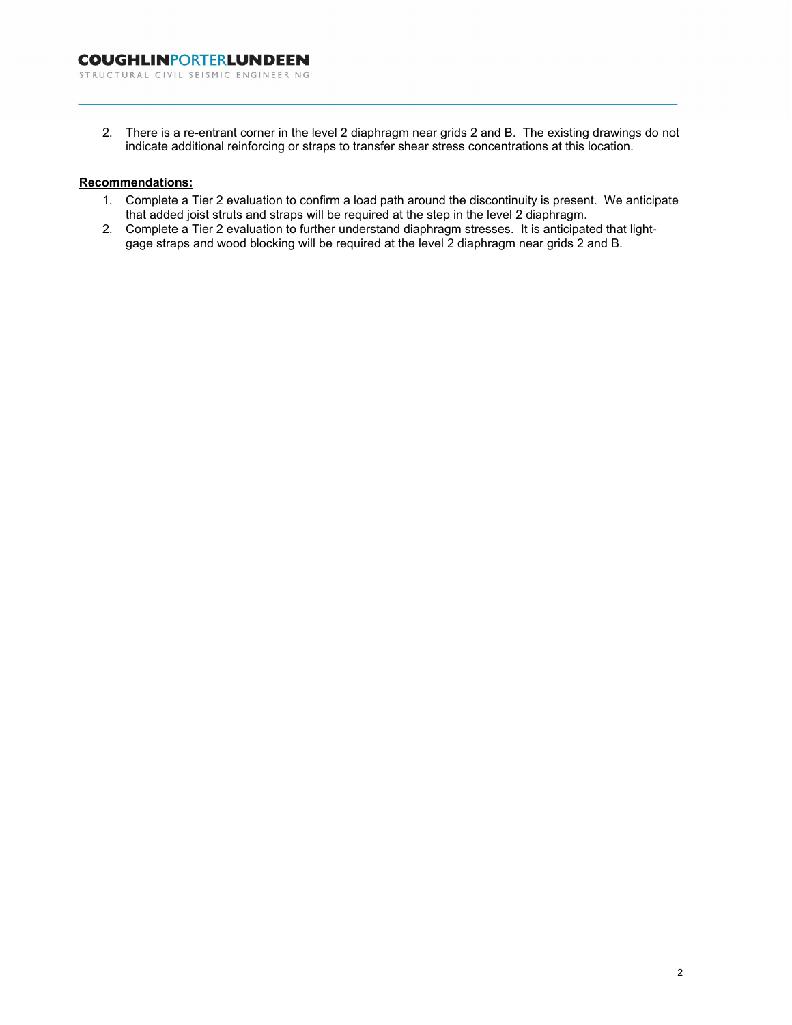2. There is a re-entrant corner in the level 2 diaphragm near grids 2 and B. The existing drawings do not indicate additional reinforcing or straps to transfer shear stress concentrations at this location.

#### **Recommendations:**

- 1. Complete a Tier 2 evaluation to confirm a load path around the discontinuity is present. We anticipate that added joist struts and straps will be required at the step in the level 2 diaphragm.
- 2. Complete a Tier 2 evaluation to further understand diaphragm stresses. It is anticipated that lightgage straps and wood blocking will be required at the level 2 diaphragm near grids 2 and B.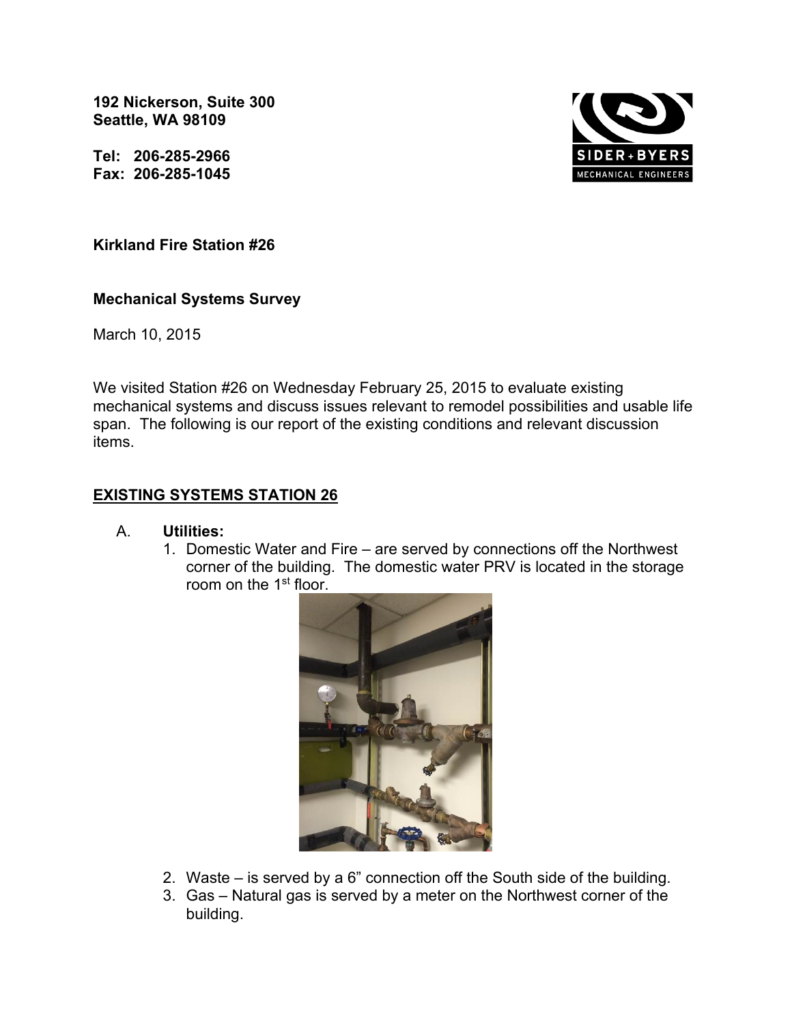**192 Nickerson, Suite 300 Seattle, WA 98109** 

**Tel: 206-285-2966 Fax: 206-285-1045** 



### **Kirkland Fire Station #26**

### **Mechanical Systems Survey**

March 10, 2015

We visited Station #26 on Wednesday February 25, 2015 to evaluate existing mechanical systems and discuss issues relevant to remodel possibilities and usable life span. The following is our report of the existing conditions and relevant discussion items.

## **EXISTING SYSTEMS STATION 26**

### A. **Utilities:**

1. Domestic Water and Fire – are served by connections off the Northwest corner of the building. The domestic water PRV is located in the storage room on the 1<sup>st</sup> floor.



- 2. Waste is served by a 6" connection off the South side of the building.
- 3. Gas Natural gas is served by a meter on the Northwest corner of the building.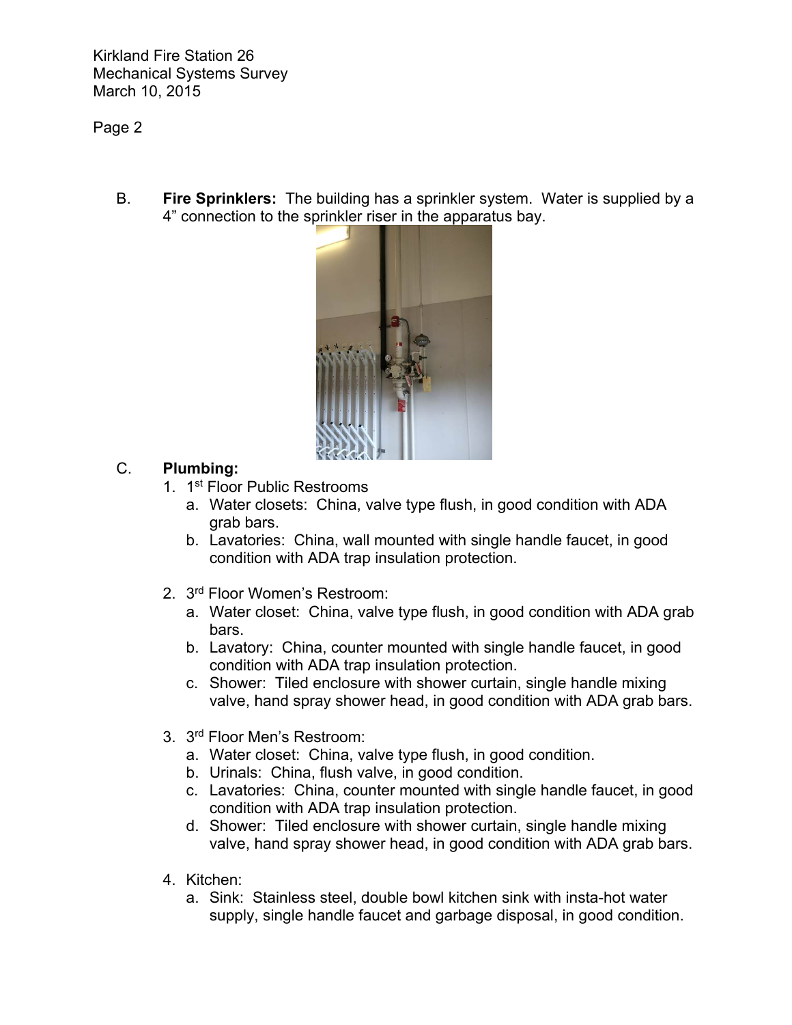## Page 2

B. **Fire Sprinklers:** The building has a sprinkler system. Water is supplied by a 4" connection to the sprinkler riser in the apparatus bay.



## C. **Plumbing:**

- 1. 1st Floor Public Restrooms
	- a. Water closets: China, valve type flush, in good condition with ADA grab bars.
	- b. Lavatories: China, wall mounted with single handle faucet, in good condition with ADA trap insulation protection.
- 2. 3<sup>rd</sup> Floor Women's Restroom:
	- a. Water closet: China, valve type flush, in good condition with ADA grab bars.
	- b. Lavatory: China, counter mounted with single handle faucet, in good condition with ADA trap insulation protection.
	- c. Shower: Tiled enclosure with shower curtain, single handle mixing valve, hand spray shower head, in good condition with ADA grab bars.
- 3. 3rd Floor Men's Restroom:
	- a. Water closet: China, valve type flush, in good condition.
	- b. Urinals: China, flush valve, in good condition.
	- c. Lavatories: China, counter mounted with single handle faucet, in good condition with ADA trap insulation protection.
	- d. Shower: Tiled enclosure with shower curtain, single handle mixing valve, hand spray shower head, in good condition with ADA grab bars.
- 4. Kitchen:
	- a. Sink: Stainless steel, double bowl kitchen sink with insta-hot water supply, single handle faucet and garbage disposal, in good condition.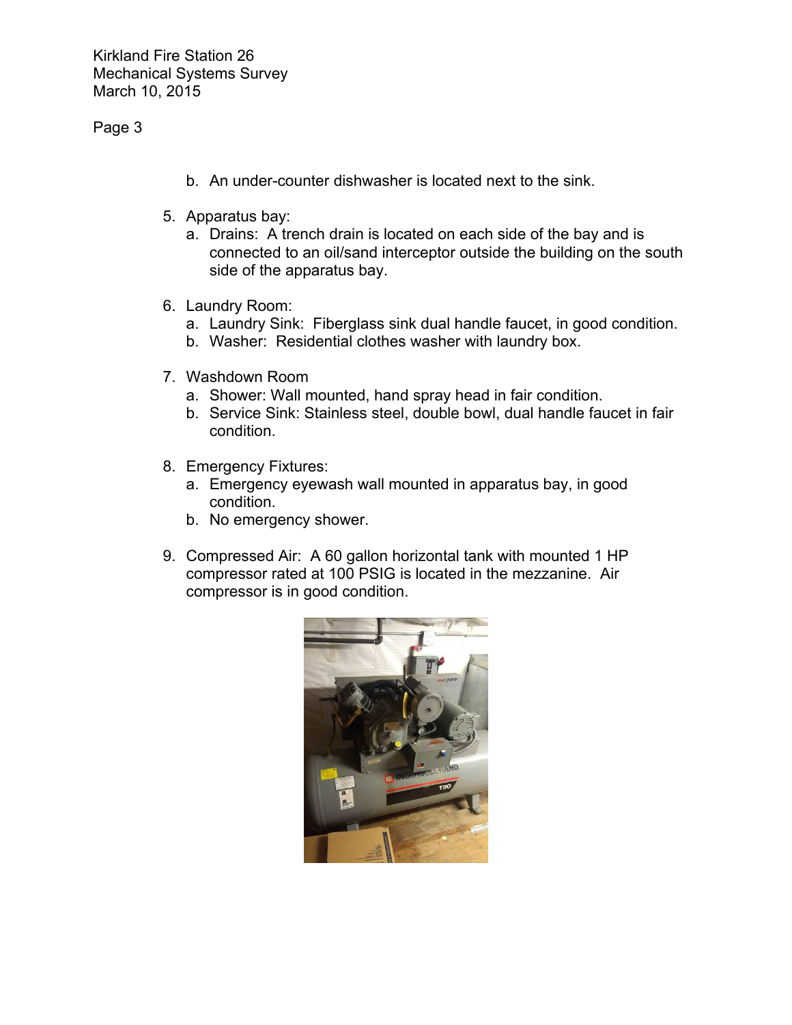### Page 3

- b. An under-counter dishwasher is located next to the sink.
- 5. Apparatus bay:
	- a. Drains: A trench drain is located on each side of the bay and is connected to an oil/sand interceptor outside the building on the south side of the apparatus bay.
- 6. Laundry Room:
	- a. Laundry Sink: Fiberglass sink dual handle faucet, in good condition.
	- b. Washer: Residential clothes washer with laundry box.
- 7. Washdown Room
	- a. Shower: Wall mounted, hand spray head in fair condition.
	- b. Service Sink: Stainless steel, double bowl, dual handle faucet in fair condition.
- 8. Emergency Fixtures:
	- a. Emergency eyewash wall mounted in apparatus bay, in good condition.
	- b. No emergency shower.
- 9. Compressed Air: A 60 gallon horizontal tank with mounted 1 HP compressor rated at 100 PSIG is located in the mezzanine. Air compressor is in good condition.

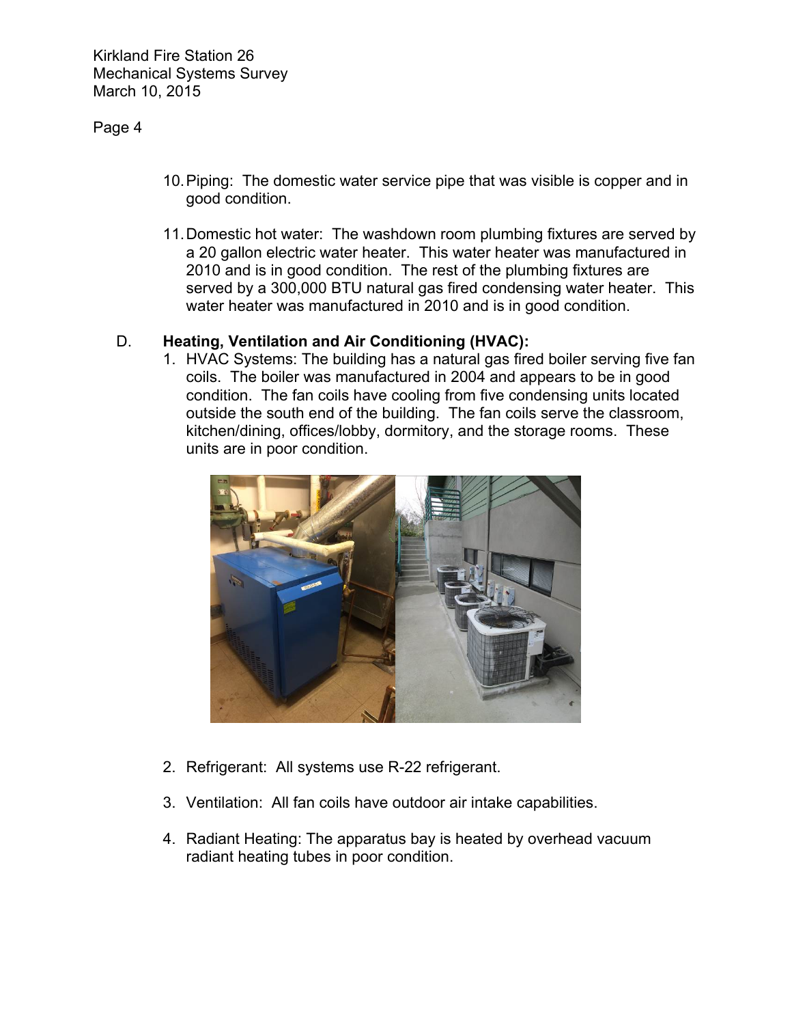### Page 4

- 10. Piping: The domestic water service pipe that was visible is copper and in good condition.
- 11. Domestic hot water: The washdown room plumbing fixtures are served by a 20 gallon electric water heater. This water heater was manufactured in 2010 and is in good condition. The rest of the plumbing fixtures are served by a 300,000 BTU natural gas fired condensing water heater. This water heater was manufactured in 2010 and is in good condition.

### D. **Heating, Ventilation and Air Conditioning (HVAC):**

1. HVAC Systems: The building has a natural gas fired boiler serving five fan coils. The boiler was manufactured in 2004 and appears to be in good condition. The fan coils have cooling from five condensing units located outside the south end of the building. The fan coils serve the classroom, kitchen/dining, offices/lobby, dormitory, and the storage rooms. These units are in poor condition.



- 2. Refrigerant: All systems use R-22 refrigerant.
- 3. Ventilation: All fan coils have outdoor air intake capabilities.
- 4. Radiant Heating: The apparatus bay is heated by overhead vacuum radiant heating tubes in poor condition.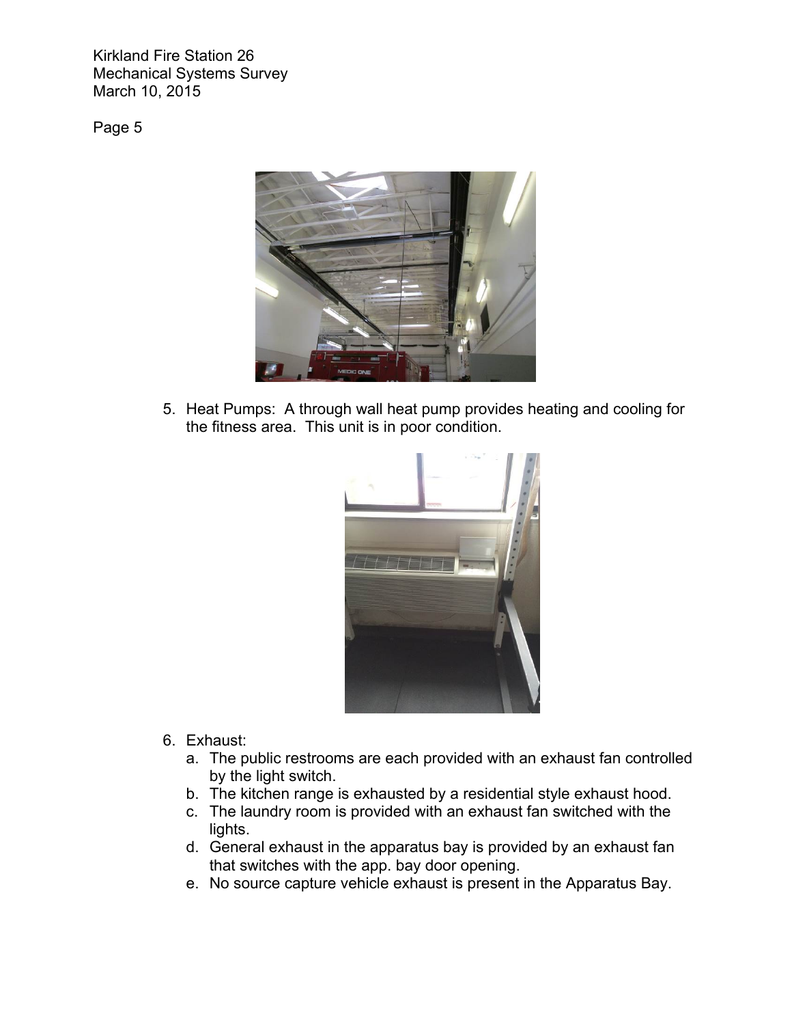Page 5



5. Heat Pumps: A through wall heat pump provides heating and cooling for the fitness area. This unit is in poor condition.



- 6. Exhaust:
	- a. The public restrooms are each provided with an exhaust fan controlled by the light switch.
	- b. The kitchen range is exhausted by a residential style exhaust hood.
	- c. The laundry room is provided with an exhaust fan switched with the lights.
	- d. General exhaust in the apparatus bay is provided by an exhaust fan that switches with the app. bay door opening.
	- e. No source capture vehicle exhaust is present in the Apparatus Bay.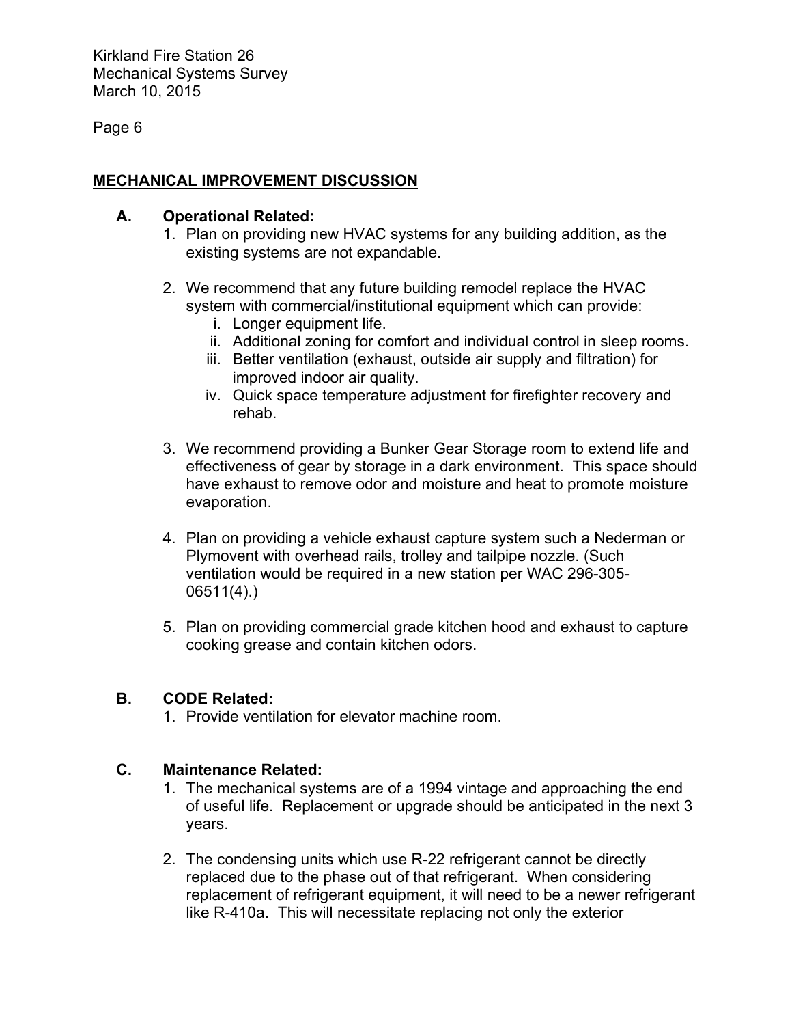Page 6

# **MECHANICAL IMPROVEMENT DISCUSSION**

### **A. Operational Related:**

- 1. Plan on providing new HVAC systems for any building addition, as the existing systems are not expandable.
- 2. We recommend that any future building remodel replace the HVAC system with commercial/institutional equipment which can provide:
	- i. Longer equipment life.
	- ii. Additional zoning for comfort and individual control in sleep rooms.
	- iii. Better ventilation (exhaust, outside air supply and filtration) for improved indoor air quality.
	- iv. Quick space temperature adjustment for firefighter recovery and rehab.
- 3. We recommend providing a Bunker Gear Storage room to extend life and effectiveness of gear by storage in a dark environment. This space should have exhaust to remove odor and moisture and heat to promote moisture evaporation.
- 4. Plan on providing a vehicle exhaust capture system such a Nederman or Plymovent with overhead rails, trolley and tailpipe nozzle. (Such ventilation would be required in a new station per WAC 296-305- 06511(4).)
- 5. Plan on providing commercial grade kitchen hood and exhaust to capture cooking grease and contain kitchen odors.

## **B. CODE Related:**

1. Provide ventilation for elevator machine room.

## **C. Maintenance Related:**

- 1. The mechanical systems are of a 1994 vintage and approaching the end of useful life. Replacement or upgrade should be anticipated in the next 3 years.
- 2. The condensing units which use R-22 refrigerant cannot be directly replaced due to the phase out of that refrigerant. When considering replacement of refrigerant equipment, it will need to be a newer refrigerant like R-410a. This will necessitate replacing not only the exterior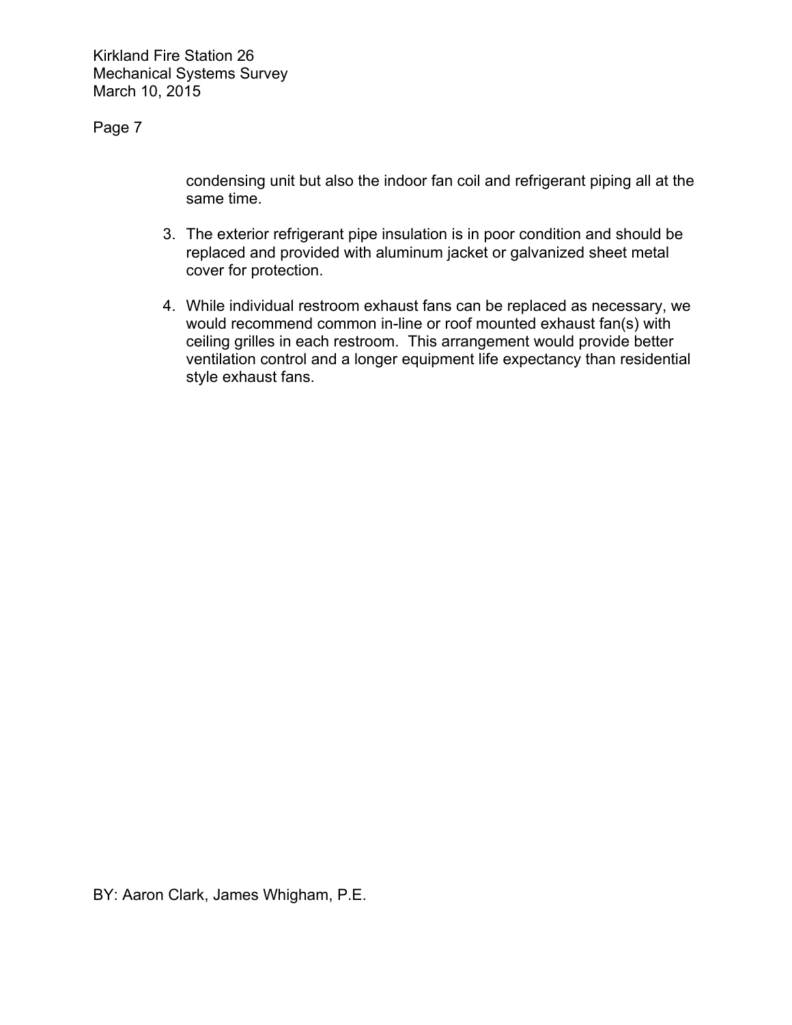Page 7

condensing unit but also the indoor fan coil and refrigerant piping all at the same time.

- 3. The exterior refrigerant pipe insulation is in poor condition and should be replaced and provided with aluminum jacket or galvanized sheet metal cover for protection.
- 4. While individual restroom exhaust fans can be replaced as necessary, we would recommend common in-line or roof mounted exhaust fan(s) with ceiling grilles in each restroom. This arrangement would provide better ventilation control and a longer equipment life expectancy than residential style exhaust fans.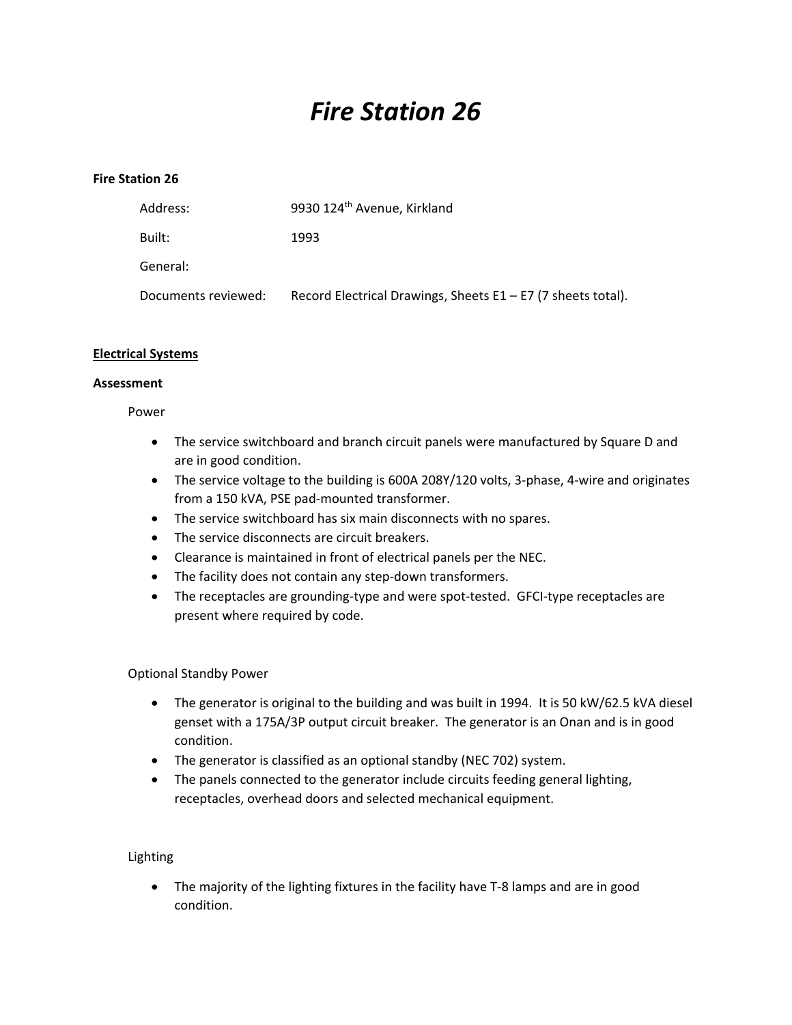# *Fire Station 26*

#### **Fire Station 26**

| Address:            | 9930 124 <sup>th</sup> Avenue, Kirkland                        |
|---------------------|----------------------------------------------------------------|
| Built:              | 1993                                                           |
| General:            |                                                                |
| Documents reviewed: | Record Electrical Drawings, Sheets $E1 - E7$ (7 sheets total). |

#### **Electrical Systems**

#### **Assessment**

Power

- The service switchboard and branch circuit panels were manufactured by Square D and are in good condition.
- The service voltage to the building is 600A 208Y/120 volts, 3-phase, 4-wire and originates from a 150 kVA, PSE pad‐mounted transformer.
- The service switchboard has six main disconnects with no spares.
- The service disconnects are circuit breakers.
- Clearance is maintained in front of electrical panels per the NEC.
- The facility does not contain any step-down transformers.
- The receptacles are grounding-type and were spot-tested. GFCI-type receptacles are present where required by code.

### Optional Standby Power

- The generator is original to the building and was built in 1994. It is 50 kW/62.5 kVA diesel genset with a 175A/3P output circuit breaker. The generator is an Onan and is in good condition.
- The generator is classified as an optional standby (NEC 702) system.
- The panels connected to the generator include circuits feeding general lighting, receptacles, overhead doors and selected mechanical equipment.

### Lighting

● The majority of the lighting fixtures in the facility have T-8 lamps and are in good condition.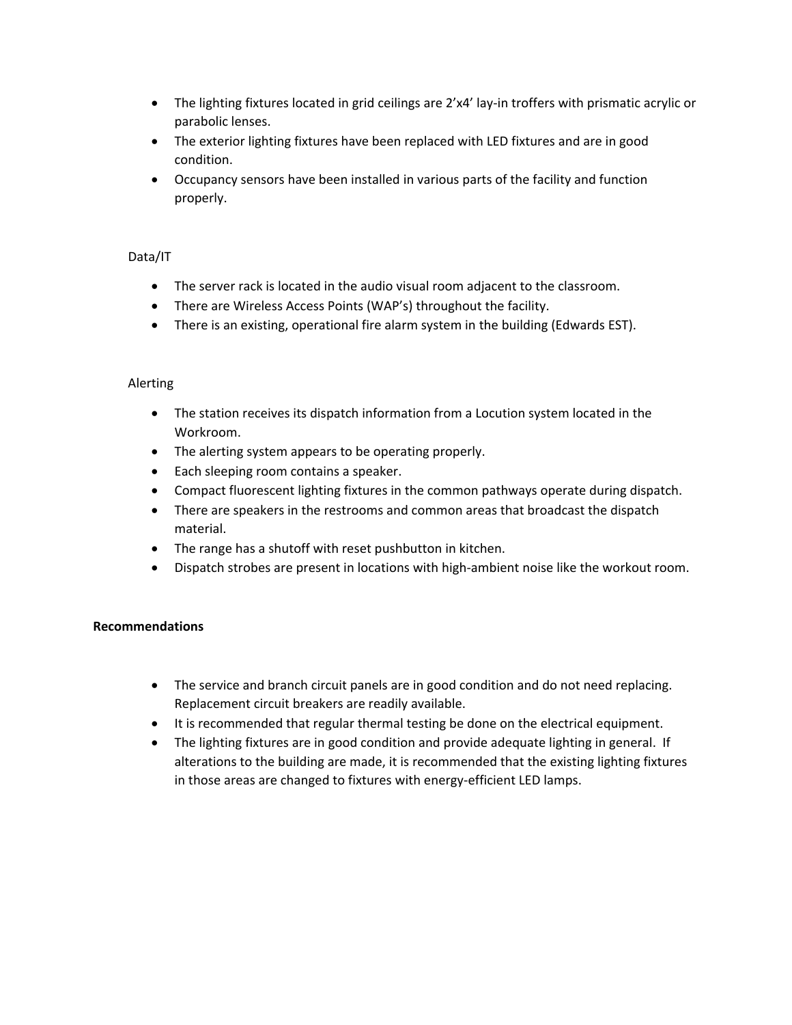- The lighting fixtures located in grid ceilings are 2'x4' lay-in troffers with prismatic acrylic or parabolic lenses.
- The exterior lighting fixtures have been replaced with LED fixtures and are in good condition.
- Occupancy sensors have been installed in various parts of the facility and function properly.

### Data/IT

- The server rack is located in the audio visual room adjacent to the classroom.
- There are Wireless Access Points (WAP's) throughout the facility.
- There is an existing, operational fire alarm system in the building (Edwards EST).

#### Alerting

- The station receives its dispatch information from a Locution system located in the Workroom.
- The alerting system appears to be operating properly.
- Each sleeping room contains a speaker.
- Compact fluorescent lighting fixtures in the common pathways operate during dispatch.
- There are speakers in the restrooms and common areas that broadcast the dispatch material.
- The range has a shutoff with reset pushbutton in kitchen.
- Dispatch strobes are present in locations with high-ambient noise like the workout room.

### **Recommendations**

- The service and branch circuit panels are in good condition and do not need replacing. Replacement circuit breakers are readily available.
- It is recommended that regular thermal testing be done on the electrical equipment.
- The lighting fixtures are in good condition and provide adequate lighting in general. If alterations to the building are made, it is recommended that the existing lighting fixtures in those areas are changed to fixtures with energy-efficient LED lamps.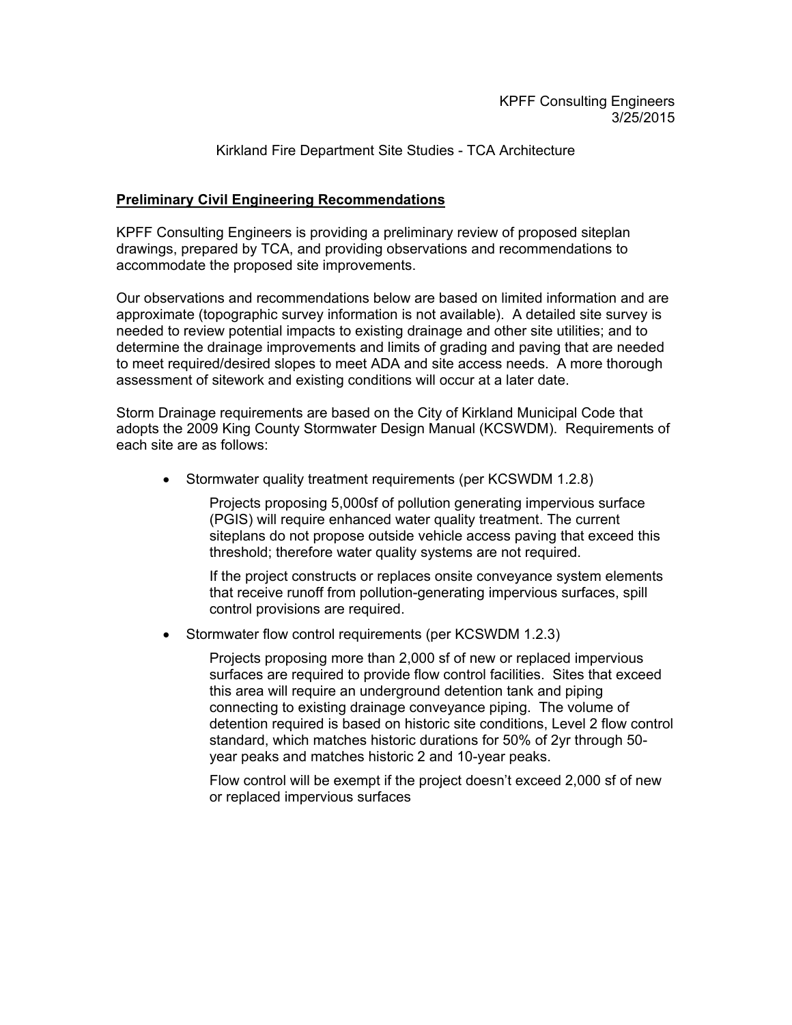### Kirkland Fire Department Site Studies - TCA Architecture

### **Preliminary Civil Engineering Recommendations**

KPFF Consulting Engineers is providing a preliminary review of proposed siteplan drawings, prepared by TCA, and providing observations and recommendations to accommodate the proposed site improvements.

Our observations and recommendations below are based on limited information and are approximate (topographic survey information is not available). A detailed site survey is needed to review potential impacts to existing drainage and other site utilities; and to determine the drainage improvements and limits of grading and paving that are needed to meet required/desired slopes to meet ADA and site access needs. A more thorough assessment of sitework and existing conditions will occur at a later date.

Storm Drainage requirements are based on the City of Kirkland Municipal Code that adopts the 2009 King County Stormwater Design Manual (KCSWDM). Requirements of each site are as follows:

• Stormwater quality treatment requirements (per KCSWDM 1.2.8)

Projects proposing 5,000sf of pollution generating impervious surface (PGIS) will require enhanced water quality treatment. The current siteplans do not propose outside vehicle access paving that exceed this threshold; therefore water quality systems are not required.

If the project constructs or replaces onsite conveyance system elements that receive runoff from pollution-generating impervious surfaces, spill control provisions are required.

Stormwater flow control requirements (per KCSWDM 1.2.3)

Projects proposing more than 2,000 sf of new or replaced impervious surfaces are required to provide flow control facilities. Sites that exceed this area will require an underground detention tank and piping connecting to existing drainage conveyance piping. The volume of detention required is based on historic site conditions, Level 2 flow control standard, which matches historic durations for 50% of 2yr through 50 year peaks and matches historic 2 and 10-year peaks.

Flow control will be exempt if the project doesn't exceed 2,000 sf of new or replaced impervious surfaces